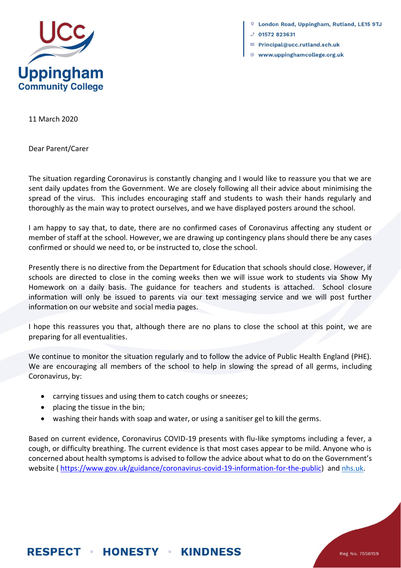

London Road, Uppingham, Rutland, LE15 9TJ

- 01572 823631
- $\blacksquare$  Principal@ucc.rutland.sch.uk
- www.uppinghamcollege.org.uk

11 March 2020

Dear Parent/Carer

The situation regarding Coronavirus is constantly changing and I would like to reassure you that we are sent daily updates from the Government. We are closely following all their advice about minimising the spread of the virus. This includes encouraging staff and students to wash their hands regularly and thoroughly as the main way to protect ourselves, and we have displayed posters around the school.

I am happy to say that, to date, there are no confirmed cases of Coronavirus affecting any student or member of staff at the school. However, we are drawing up contingency plans should there be any cases confirmed or should we need to, or be instructed to, close the school.

Presently there is no directive from the Department for Education that schools should close. However, if schools are directed to close in the coming weeks then we will issue work to students via Show My Homework on a daily basis. The guidance for teachers and students is attached. School closure information will only be issued to parents via our text messaging service and we will post further information on our website and social media pages.

I hope this reassures you that, although there are no plans to close the school at this point, we are preparing for all eventualities.

We continue to monitor the situation regularly and to follow the advice of Public Health England (PHE). We are encouraging all members of the school to help in slowing the spread of all germs, including Coronavirus, by:

- carrying tissues and using them to catch coughs or sneezes;
- placing the tissue in the bin;
- washing their hands with soap and water, or using a sanitiser gel to kill the germs.

Based on current evidence, Coronavirus COVID-19 presents with flu-like symptoms including a fever, a cough, or difficulty breathing. The current evidence is that most cases appear to be mild. Anyone who is concerned about health symptoms is advised to follow the advice about what to do on the Government's website ( [https://www.gov.uk/guidance/coronavirus-covid-19-information-for-the-public\)](https://www.gov.uk/guidance/coronavirus-covid-19-information-for-the-public) and [nhs.uk.](https://www.nhs.uk/conditions/coronavirus-covid-19/)

## **RESPECT • HONESTY • KINDNESS**